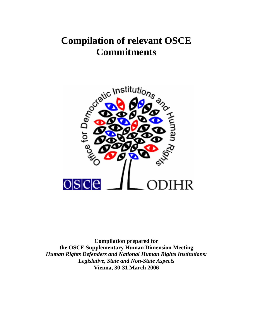# **Compilation of relevant OSCE**



**Compilation prepared for the OSCE Supplementary Human Dimension Meeting**  *Human Rights Defenders and National Human Rights Institutions: Legislative, State and Non-State Aspects*  **Vienna, 30-31 March 2006**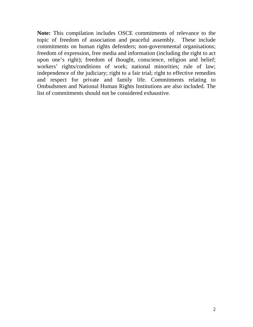**Note:** This compilation includes OSCE commitments of relevance to the topic of freedom of association and peaceful assembly. These include commitments on human rights defenders; non-governmental organisations; freedom of expression, free media and information (including the right to act upon one's right); freedom of thought, conscience, religion and belief; workers' rights/conditions of work; national minorities; rule of law; independence of the judiciary; right to a fair trial; right to effective remedies and respect for private and family life. Commitments relating to Ombudsmen and National Human Rights Institutions are also included. The list of commitments should not be considered exhaustive.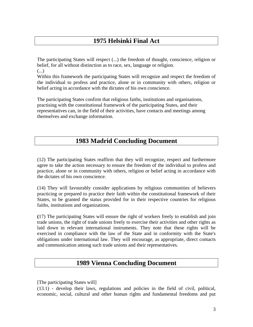# **1975 Helsinki Final Act**

The participating States will respect (...) the freedom of thought, conscience, religion or belief, for all without distinction as to race, sex, language or religion.

 $(\ldots)$ 

Within this framework the participating States will recognize and respect the freedom of the individual to profess and practice, alone or in community with others, religion or belief acting in accordance with the dictates of his own conscience.

The participating States confirm that religious faiths, institutions and organisations, practising with the constitutional framework of the participating States, and their representatives can, in the field of their activities, have contacts and meetings among themselves and exchange information.

# **1983 Madrid Concluding Document**

(12) The participating States reaffirm that they will recognize, respect and furthermore agree to take the action necessary to ensure the freedom of the individual to profess and practice, alone or in community with others, religion or belief acting in accordance with the dictates of his own conscience.

(14) They will favourably consider applications by religious communities of believers practicing or prepared to practice their faith within the constitutional framework of their States, to be granted the status provided for in their respective countries for religious faiths, institutions and organizations.

**(**17) The participating States will ensure the right of workers freely to establish and join trade unions, the right of trade unions freely to exercise their activities and other rights as laid down in relevant international instruments. They note that these rights will be exercised in compliance with the law of the State and in conformity with the State's obligations under international law. They will encourage, as appropriate, direct contacts and communication among such trade unions and their representatives.

# **1989 Vienna Concluding Document**

[The participating States will]

(13.1) - develop their laws, regulations and policies in the field of civil, political, economic, social, cultural and other human rights and fundamental freedoms and put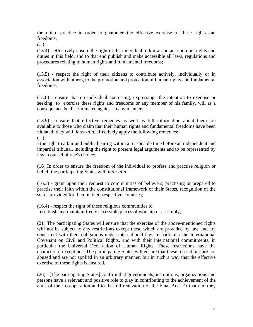them into practice in order to guarantee the effective exercise of these rights and freedoms;

 $(...)$ 

(13.4) - effectively ensure the right of the individual to know and act upon his rights and duties in this field, and to that end publish and make accessible all laws, regulations and procedures relating to human rights and fundamental freedoms;

(13.5) - respect the right of their citizens to contribute actively, individually or in association with others, to the promotion and protection of human rights and fundamental freedoms;

(13.8) - ensure that no individual exercising, expressing the intention to exercise or seeking to exercise these rights and freedoms or any member of his family, will as a consequence be discriminated against in any manner;

(13.9) - ensure that effective remedies as well as full information about them are available to those who claim that their human rights and fundamental freedoms have been violated; they will, *inter alia,* effectively apply the following remedies:

(...)

- the right to a fair and public hearing within a reasonable time before an independent and impartial tribunal, including the right to present legal arguments and to be represented by legal counsel of one's choice;

(16) In order to ensure the freedom of the individual to profess and practise religion or belief, the participating States will*, inter alia,* 

(16.3) - grant upon their request to communities of believers, practising or prepared to practise their faith within the constitutional framework of their States, recognition of the status provided for them in their respective countries;

(16.4) - respect the right of these religious communities to

- establish and maintain freely accessible places of worship or assembly,

(21) The participating States will ensure that the exercise of the above-mentioned rights will not be subject to any restrictions except those which are provided by law and are consistent with their obligations under international law, in particular the International Covenant on Civil and Political Rights, and with their international commitments, in particular the Universal Declaration of Human Rights. These restrictions have the character of exceptions. The participating States will ensure that these restrictions are not abused and are not applied in an arbitrary manner, but in such a way that the effective exercise of these rights is ensured.

(26) [The participating States] confirm that governments, institutions, organizations and persons have a relevant and positive role to play in contributing to the achievement of the aims of their co-operation and to the full realization of the Final Act. To that end they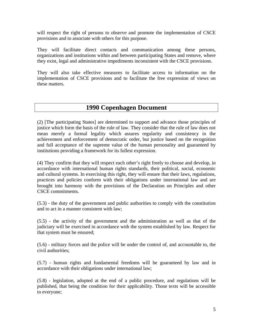will respect the right of persons to observe and promote the implementation of CSCE provisions and to associate with others for this purpose.

They will facilitate direct contacts and communication among these persons, organizations and institutions within and between participating States and remove, where they exist, legal and administrative impediments inconsistent with the CSCE provisions.

They will also take effective measures to facilitate access to information on the implementation of CSCE provisions and to facilitate the free expression of views on these matters.

## **1990 Copenhagen Document**

(2) [The participating States] are determined to support and advance those principles of justice which form the basis of the rule of law. They consider that the rule of law does not mean merely a formal legality which assures regularity and consistency in the achievement and enforcement of democratic order, but justice based on the recognition and full acceptance of the supreme value of the human personality and guaranteed by institutions providing a framework for its fullest expression.

(4) They confirm that they will respect each other's right freely to choose and develop, in accordance with international human rights standards, their political, social, economic and cultural systems. In exercising this right, they will ensure that their laws, regulations, practices and policies conform with their obligations under international law and are brought into harmony with the provisions of the Declaration on Principles and other CSCE commitments.

(5.3) - the duty of the government and public authorities to comply with the constitution and to act in a manner consistent with law;

(5.5) - the activity of the government and the administration as well as that of the judiciary will be exercised in accordance with the system established by law. Respect for that system must be ensured;

(5.6) - military forces and the police will be under the control of, and accountable to, the civil authorities;

(5.7) - human rights and fundamental freedoms will be guaranteed by law and in accordance with their obligations under international law;

(5.8) - legislation, adopted at the end of a public procedure, and regulations will be published, that being the condition for their applicability. Those texts will be accessible to everyone;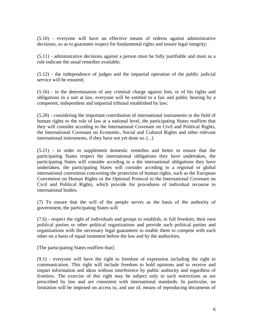(5.10) - everyone will have an effective means of redress against administrative decisions, so as to guarantee respect for fundamental rights and ensure legal integrity;

(5.11) - administrative decisions against a person must be fully justifiable and must as a rule indicate the usual remedies available;

(5.12) - the independence of judges and the impartial operation of the public judicial service will be ensured;

(5.16) - in the determination of any criminal charge against him, or of his rights and obligations in a suit at law, everyone will be entitled to a fair and public hearing by a competent, independent and impartial tribunal established by law;

(5.20) - considering the important contribution of international instruments in the field of human rights to the rule of law at a national level, the participating States reaffirm that they will consider acceding to the International Covenant on Civil and Political Rights, the International Covenant on Economic, Social and Cultural Rights and other relevant international instruments, if they have not yet done so. (...)

(5.21) - in order to supplement domestic remedies and better to ensure that the participating States respect the international obligations they have undertaken, the participating States will consider acceding to a the international obligations they have undertaken, the participating States will consider acceding to a regional or global international convention concerning the protection of human rights, such as the European Convention on Human Rights or the Optional Protocol to the International Covenant on Civil and Political Rights, which provide for procedures of individual recourse to international bodies.

(7) To ensure that the will of the people serves as the basis of the authority of government, the participating States will

(7.6) - respect the right of individuals and groups to establish, in full freedom, their own political parties or other political organizations and provide such political parties and organizations with the necessary legal guarantees to enable them to compete with each other on a basis of equal treatment before the law and by the authorities.

[The participating States reaffirm that]:

(9.1) - everyone will have the right to freedom of expression including the right to communication. This right will include freedom to hold opinions and to receive and impart information and ideas without interference by public authority and regardless of frontiers. The exercise of this right may be subject only to such restrictions as are prescribed by law and are consistent with international standards. In particular, no limitation will be imposed on access to, and use of, means of reproducing documents of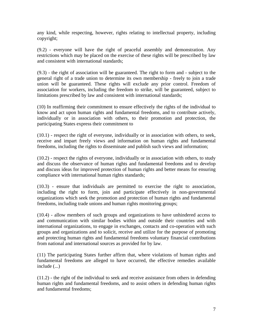any kind, while respecting, however, rights relating to intellectual property, including copyright;

(9.2) - everyone will have the right of peaceful assembly and demonstration. Any restrictions which may be placed on the exercise of these rights will be prescribed by law and consistent with international standards;

(9.3) - the right of association will be guaranteed. The right to form and - subject to the general right of a trade union to determine its own membership - freely to join a trade union will be guaranteed. These rights will exclude any prior control. Freedom of association for workers, including the freedom to strike, will be guaranteed, subject to limitations prescribed by law and consistent with international standards;

(10) In reaffirming their commitment to ensure effectively the rights of the individual to know and act upon human rights and fundamental freedoms, and to contribute actively, individually or in association with others, to their promotion and protection, the participating States express their commitment to

(10.1) - respect the right of everyone, individually or in association with others, to seek, receive and impart freely views and information on human rights and fundamental freedoms, including the rights to disseminate and publish such views and information;

(10.2) - respect the rights of everyone, individually or in association with others, to study and discuss the observance of human rights and fundamental freedoms and to develop and discuss ideas for improved protection of human rights and better means for ensuring compliance with international human rights standards;

(10.3) - ensure that individuals are permitted to exercise the right to association, including the right to form, join and participate effectively in non-governmental organizations which seek the promotion and protection of human rights and fundamental freedoms, including trade unions and human rights monitoring groups;

(10.4) - allow members of such groups and organizations to have unhindered access to and communication with similar bodies within and outside their countries and with international organizations, to engage in exchanges, contacts and co-operation with such groups and organizations and to solicit, receive and utilize for the purpose of promoting and protecting human rights and fundamental freedoms voluntary financial contributions from national and international sources as provided for by law.

(11) The participating States further affirm that, where violations of human rights and fundamental freedoms are alleged to have occurred, the effective remedies available include (...)

(11.2) - the right of the individual to seek and receive assistance from others in defending human rights and fundamental freedoms, and to assist others in defending human rights and fundamental freedoms;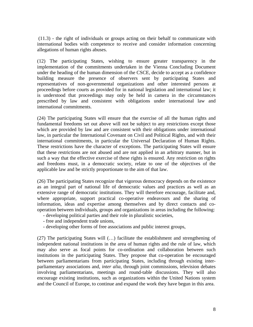(11.3) - the right of individuals or groups acting on their behalf to communicate with international bodies with competence to receive and consider information concerning allegations of human rights abuses.

(12) The participating States, wishing to ensure greater transparency in the implementation of the commitments undertaken in the Vienna Concluding Document under the heading of the human dimension of the CSCE, decide to accept as a confidence building measure the presence of observers sent by participating States and representatives of non-governmental organizations and other interested persons at proceedings before courts as provided for in national legislation and international law; it is understood that proceedings may only be held in camera in the circumstances prescribed by law and consistent with obligations under international law and international commitments.

(24) The participating States will ensure that the exercise of all the human rights and fundamental freedoms set out above will not be subject to any restrictions except those which are provided by law and are consistent with their obligations under international law, in particular the International Covenant on Civil and Political Rights, and with their international commitments, in particular the Universal Declaration of Human Rights. These restrictions have the character of exceptions. The participating States will ensure that these restrictions are not abused and are not applied in an arbitrary manner, but in such a way that the effective exercise of these rights is ensured. Any restriction on rights and freedoms must, in a democratic society, relate to one of the objectives of the applicable law and be strictly proportionate to the aim of that law.

(26) The participating States recognize that vigorous democracy depends on the existence as an integral part of national life of democratic values and practices as well as an extensive range of democratic institutions. They will therefore encourage, facilitate and, where appropriate, support practical co-operative endeavours and the sharing of information, ideas and expertise among themselves and by direct contacts and cooperation between individuals, groups and organizations in areas including the following:

- developing political parties and their role in pluralistic societies,
- free and independent trade unions,
- developing other forms of free associations and public interest groups,

(27) The participating States will (…) facilitate the establishment and strengthening of independent national institutions in the area of human rights and the rule of law, which may also serve as focal points for co-ordination and collaboration between such institutions in the participating States. They propose that co-operation be encouraged between parliamentarians from participating States, including through existing interparliamentary associations and, *inter alia*, through joint commissions, television debates involving parliamentarians, meetings and round-table discussions. They will also encourage existing institutions, such as organizations within the United Nations system and the Council of Europe, to continue and expand the work they have begun in this area.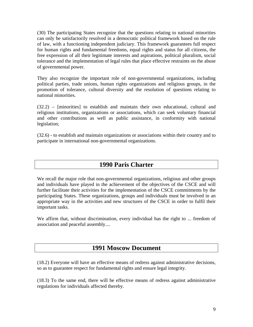(30) The participating States recognize that the questions relating to national minorities can only be satisfactorily resolved in a democratic political framework based on the rule of law, with a functioning independent judiciary. This framework guarantees full respect for human rights and fundamental freedoms, equal rights and status for all citizens, the free expression of all their legitimate interests and aspirations, political pluralism, social tolerance and the implementation of legal rules that place effective restraints on the abuse of governmental power.

They also recognize the important role of non-governmental organizations, including political parties, trade unions, human rights organizations and religious groups, in the promotion of tolerance, cultural diversity and the resolution of questions relating to national minorities.

(32.2) – [minorities] to establish and maintain their own educational, cultural and religious institutions, organizations or associations, which can seek voluntary financial and other contributions as well as public assistance, in conformity with national legislation;

(32.6) - to establish and maintain organizations or associations within their country and to participate in international non-governmental organizations.

## **1990 Paris Charter**

We recall the major role that non-governmental organizations, religious and other groups and individuals have played in the achievement of the objectives of the CSCE and will further facilitate their activities for the implementation of the CSCE commitments by the participating States. These organizations, groups and individuals must be involved in an appropriate way in the activities and new structures of the CSCE in order to fulfil their important tasks.

We affirm that, without discrimination, every individual has the right to ... freedom of association and peaceful assembly....

## **1991 Moscow Document**

(18.2) Everyone will have an effective means of redress against administrative decisions, so as to guarantee respect for fundamental rights and ensure legal integrity.

(18.3) To the same end, there will be effective means of redress against administrative regulations for individuals affected thereby.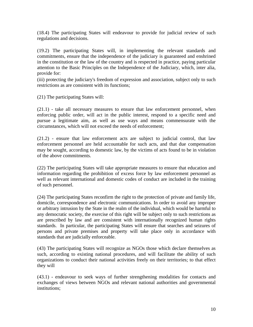(18.4) The participating States will endeavour to provide for judicial review of such regulations and decisions.

(19.2) The participating States will, in implementing the relevant standards and commitments, ensure that the independence of the judiciary is guaranteed and enshrined in the constitution or the law of the country and is respected in practice, paying particular attention to the Basic Principles on the Independence of the Judiciary, which, inter alia, provide for:

(iii) protecting the judiciary's freedom of expression and association, subject only to such restrictions as are consistent with its functions;

(21) The participating States will:

(21.1) - take all necessary measures to ensure that law enforcement personnel, when enforcing public order, will act in the public interest, respond to a specific need and pursue a legitimate aim, as well as use ways and means commensurate with the circumstances, which will not exceed the needs of enforcement;

(21.2) - ensure that law enforcement acts are subject to judicial control, that law enforcement personnel are held accountable for such acts, and that due compensation may be sought, according to domestic law, by the victims of acts found to be in violation of the above commitments.

(22) The participating States will take appropriate measures to ensure that education and information regarding the prohibition of excess force by law enforcement personnel as well as relevant international and domestic codes of conduct are included in the training of such personnel.

(24) The participating States reconfirm the right to the protection of private and family life, domicile, correspondence and electronic communications. In order to avoid any improper or arbitrary intrusion by the State in the realm of the individual, which would be harmful to any democratic society, the exercise of this right will be subject only to such restrictions as are prescribed by law and are consistent with internationally recognized human rights standards. In particular, the participating States will ensure that searches and seizures of persons and private premises and property will take place only in accordance with standards that are judicially enforceable.

(43) The participating States will recognize as NGOs those which declare themselves as such, according to existing national procedures, and will facilitate the ability of such organizations to conduct their national activities freely on their territories; to that effect they will

(43.1) - endeavour to seek ways of further strengthening modalities for contacts and exchanges of views between NGOs and relevant national authorities and governmental institutions;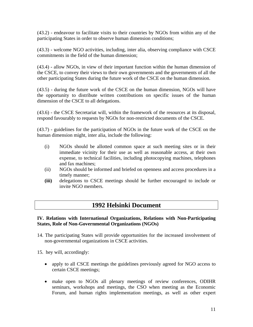(43.2) - endeavour to facilitate visits to their countries by NGOs from within any of the participating States in order to observe human dimension conditions;

(43.3) - welcome NGO activities, including, inter alia, observing compliance with CSCE commitments in the field of the human dimension;

(43.4) - allow NGOs, in view of their important function within the human dimension of the CSCE, to convey their views to their own governments and the governments of all the other participating States during the future work of the CSCE on the human dimension.

(43.5) - during the future work of the CSCE on the human dimension, NGOs will have the opportunity to distribute written contributions on specific issues of the human dimension of the CSCE to all delegations.

(43.6) - the CSCE Secretariat will, within the framework of the resources at its disposal, respond favourably to requests by NGOs for non-restricted documents of the CSCE.

(43.7) - guidelines for the participation of NGOs in the future work of the CSCE on the human dimension might, inter alia, include the following:

- (i) NGOs should be allotted common space at such meeting sites or in their immediate vicinity for their use as well as reasonable access, at their own expense, to technical facilities, including photocopying machines, telephones and fax machines;
- (ii) NGOs should be informed and briefed on openness and access procedures in a timely manner;
- **(iii)** delegations to CSCE meetings should be further encouraged to include or invite NGO members.

## **1992 Helsinki Document**

#### **IV. Relations with International Organizations, Relations with Non-Participating States, Role of Non-Governmental Organizations (NGOs)**

- 14. The participating States will provide opportunities for the increased involvement of non-governmental organizations in CSCE activities.
- 15. hey will, accordingly:
	- apply to all CSCE meetings the guidelines previously agreed for NGO access to certain CSCE meetings;
	- make open to NGOs all plenary meetings of review conferences, ODIHR seminars, workshops and meetings, the CSO when meeting as the Economic Forum, and human rights implementation meetings, as well as other expert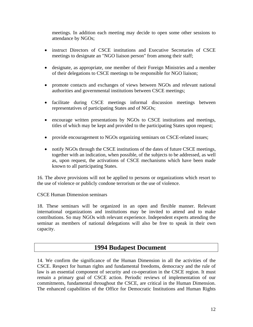meetings. In addition each meeting may decide to open some other sessions to attendance by NGOs;

- instruct Directors of CSCE institutions and Executive Secretaries of CSCE meetings to designate an "NGO liaison person" from among their staff;
- designate, as appropriate, one member of their Foreign Ministries and a member of their delegations to CSCE meetings to be responsible for NGO liaison;
- promote contacts and exchanges of views between NGOs and relevant national authorities and governmental institutions between CSCE meetings;
- facilitate during CSCE meetings informal discussion meetings between representatives of participating States and of NGOs;
- encourage written presentations by NGOs to CSCE institutions and meetings, titles of which may be kept and provided to the participating States upon request;
- provide encouragement to NGOs organizing seminars on CSCE-related issues;
- notify NGOs through the CSCE institutions of the dates of future CSCE meetings, together with an indication, when possible, of the subjects to be addressed, as well as, upon request, the activations of CSCE mechanisms which have been made known to all participating States.

16. The above provisions will not be applied to persons or organizations which resort to the use of violence or publicly condone terrorism or the use of violence.

CSCE Human Dimension seminars

18. These seminars will be organized in an open and flexible manner. Relevant international organizations and institutions may be invited to attend and to make contributions. So may NGOs with relevant experience. Independent experts attending the seminar as members of national delegations will also be free to speak in their own capacity.

# **1994 Budapest Document**

14. We confirm the significance of the Human Dimension in all the activities of the CSCE. Respect for human rights and fundamental freedoms, democracy and the rule of law is an essential component of security and co-operation in the CSCE region. It must remain a primary goal of CSCE action. Periodic reviews of implementation of our commitments, fundamental throughout the CSCE, are critical in the Human Dimension. The enhanced capabilities of the Office for Democratic Institutions and Human Rights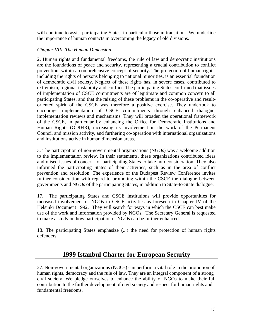will continue to assist participating States, in particular those in transition. We underline the importance of human contacts in overcoming the legacy of old divisions.

#### *Chapter VIII. The Human Dimension*

2. Human rights and fundamental freedoms, the rule of law and democratic institutions are the foundations of peace and security, representing a crucial contribution to conflict prevention, within a comprehensive concept of security. The protection of human rights, including the rights of persons belonging to national minorities, is an essential foundation of democratic civil society. Neglect of these rights has, in severe cases, contributed to extremism, regional instability and conflict. The participating States confirmed that issues of implementation of CSCE commitments are of legitimate and common concern to all participating States, and that the raising of these problems in the co-operative and resultoriented spirit of the CSCE was therefore a positive exercise. They undertook to encourage implementation of CSCE commitments through enhanced dialogue, implementation reviews and mechanisms. They will broaden the operational framework of the CSCE, in particular by enhancing the Office for Democratic Institutions and Human Rights (ODIHR), increasing its involvement in the work of the Permanent Council and mission activity, and furthering co-operation with international organizations and institutions active in human dimension areas.

3. The participation of non-governmental organizations (NGOs) was a welcome addition to the implementation review. In their statements, these organizations contributed ideas and raised issues of concern for participating States to take into consideration. They also informed the participating States of their activities, such as in the area of conflict prevention and resolution. The experience of the Budapest Review Conference invites further consideration with regard to promoting within the CSCE the dialogue between governments and NGOs of the participating States, in addition to State-to-State dialogue.

17. The participating States and CSCE institutions will provide opportunities for increased involvement of NGOs in CSCE activities as foreseen in Chapter IV of the Helsinki Document 1992. They will search for ways in which the CSCE can best make use of the work and information provided by NGOs. The Secretary General is requested to make a study on how participation of NGOs can be further enhanced.

18. The participating States emphasize (...) the need for protection of human rights defenders.

## **1999 Istanbul Charter for European Security**

27. Non-governmental organizations (NGOs) can perform a vital role in the promotion of human rights, democracy and the rule of law. They are an integral component of a strong civil society. We pledge ourselves to enhance the ability of NGOs to make their full contribution to the further development of civil society and respect for human rights and fundamental freedoms.